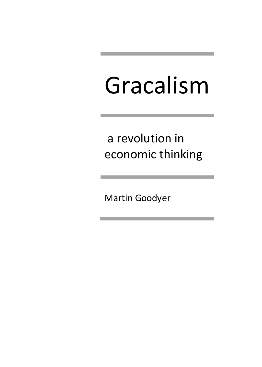# Gracalism

a revolution in economic thinking

Martin Goodyer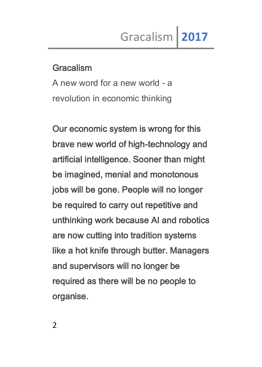#### Gracalism

A new word for a new world - a revolution in economic thinking

Our economic system is wrong for this brave new world of high-technology and artificial intelligence. Sooner than might be imagined, menial and monotonous jobs will be gone. People will no longer be required to carry out repetitive and unthinking work because AI and robotics are now cutting into tradition systems like a hot knife through butter. Managers and supervisors will no longer be required as there will be no people to organise.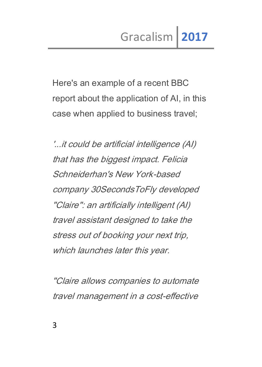Here's an example of a recent BBC report about the application of AI, in this case when applied to business travel;

'...it could be artificial intelligence (AI) that has the biggest impact. Felicia Schneiderhan's New York-based company 30SecondsToFly developed "Claire": an artificially intelligent (AI) travel assistant designed to take the stress out of booking your next trip, which launches later this year.

"Claire allows companies to automate travel management in a cost-effective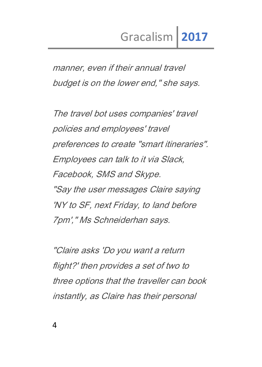manner, even if their annual travel budget is on the lower end," she says.

The travel bot uses companies' travel policies and employees' travel preferences to create "smart itineraries". Employees can talk to it via Slack, Facebook, SMS and Skype. "Say the user messages Claire saying 'NY to SF, next Friday, to land before 7pm'," Ms Schneiderhan says.

"Claire asks 'Do you want a return flight?' then provides a set of two to three options that the traveller can book instantly, as Claire has their personal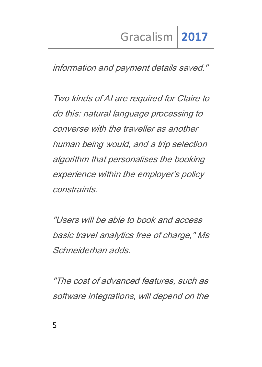information and payment details saved."

Two kinds of AI are required for Claire to do this: natural language processing to converse with the traveller as another human being would, and a trip selection algorithm that personalises the booking experience within the employer's policy constraints.

"Users will be able to book and access basic travel analytics free of charge," Ms Schneiderhan adds.

"The cost of advanced features, such as software integrations, will depend on the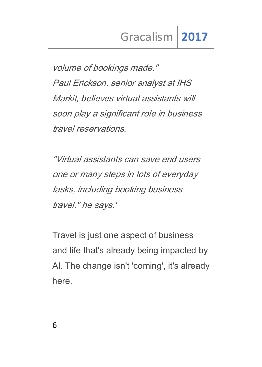volume of bookings made." Paul Erickson, senior analyst at IHS Markit, believes virtual assistants will soon play a significant role in business travel reservations.

"Virtual assistants can save end users one or many steps in lots of everyday tasks, including booking business travel," he says.'

Travel is just one aspect of business and life that's already being impacted by AI. The change isn't 'coming', it's already here.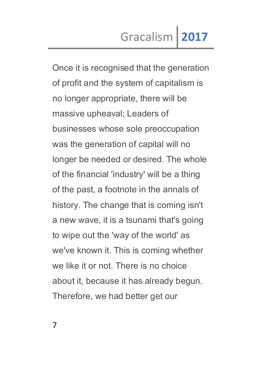Once it is recognised that the generation of profit and the system of capitalism is no longer appropriate, there will be massive upheaval; Leaders of businesses whose sole preoccupation was the generation of capital will no longer be needed or desired. The whole of the financial 'industry' will be a thing of the past, a footnote in the annals of history. The change that is coming isn't a new wave, it is a tsunami that's going to wipe out the 'way of the world' as we've known it. This is coming whether we like it or not. There is no choice about it, because it has already begun. Therefore, we had better get our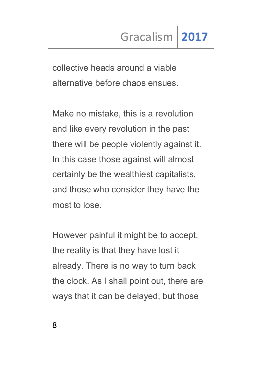collective heads around a viable alternative before chaos ensues.

Make no mistake, this is a revolution and like every revolution in the past there will be people violently against it. In this case those against will almost certainly be the wealthiest capitalists, and those who consider they have the most to lose.

However painful it might be to accept, the reality is that they have lost it already. There is no way to turn back the clock. As I shall point out, there are ways that it can be delayed, but those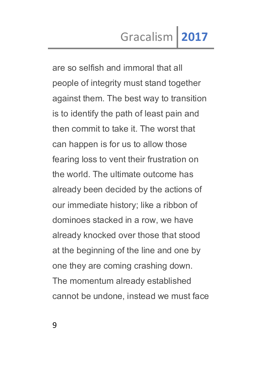are so selfish and immoral that all people of integrity must stand together against them. The best way to transition is to identify the path of least pain and then commit to take it. The worst that can happen is for us to allow those fearing loss to vent their frustration on the world. The ultimate outcome has already been decided by the actions of our immediate history; like a ribbon of dominoes stacked in a row, we have already knocked over those that stood at the beginning of the line and one by one they are coming crashing down. The momentum already established cannot be undone, instead we must face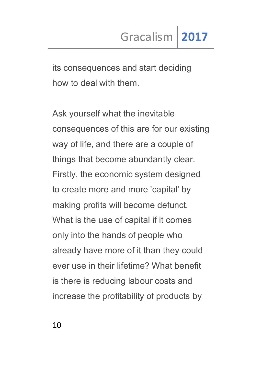its consequences and start deciding how to deal with them.

Ask yourself what the inevitable consequences of this are for our existing way of life, and there are a couple of things that become abundantly clear. Firstly, the economic system designed to create more and more 'capital' by making profits will become defunct. What is the use of capital if it comes only into the hands of people who already have more of it than they could ever use in their lifetime? What benefit is there is reducing labour costs and increase the profitability of products by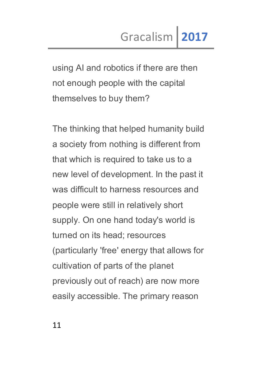using AI and robotics if there are then not enough people with the capital themselves to buy them?

The thinking that helped humanity build a society from nothing is different from that which is required to take us to a new level of development. In the past it was difficult to harness resources and people were still in relatively short supply. On one hand today's world is turned on its head; resources (particularly 'free' energy that allows for cultivation of parts of the planet previously out of reach) are now more easily accessible. The primary reason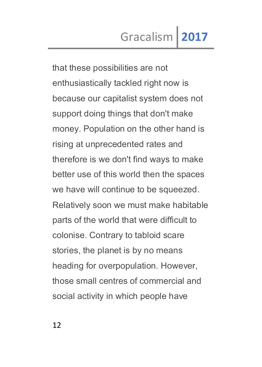that these possibilities are not enthusiastically tackled right now is because our capitalist system does not support doing things that don't make money. Population on the other hand is rising at unprecedented rates and therefore is we don't find ways to make better use of this world then the spaces we have will continue to be squeezed. Relatively soon we must make habitable parts of the world that were difficult to colonise. Contrary to tabloid scare stories, the planet is by no means heading for overpopulation. However, those small centres of commercial and social activity in which people have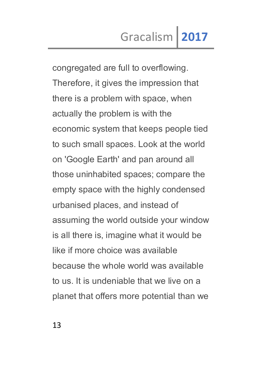congregated are full to overflowing. Therefore, it gives the impression that there is a problem with space, when actually the problem is with the economic system that keeps people tied to such small spaces. Look at the world on 'Google Earth' and pan around all those uninhabited spaces; compare the empty space with the highly condensed urbanised places, and instead of assuming the world outside your window is all there is, imagine what it would be like if more choice was available because the whole world was available to us. It is undeniable that we live on a planet that offers more potential than we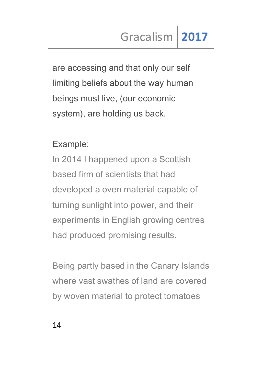are accessing and that only our self limiting beliefs about the way human beings must live, (our economic system), are holding us back.

### Example:

In 2014 I happened upon a Scottish based firm of scientists that had developed a oven material capable of turning sunlight into power, and their experiments in English growing centres had produced promising results.

Being partly based in the Canary Islands where vast swathes of land are covered by woven material to protect tomatoes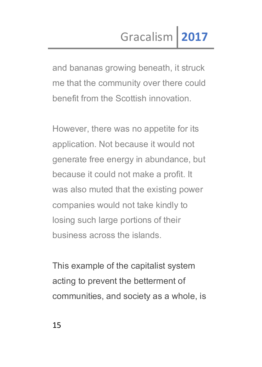and bananas growing beneath, it struck me that the community over there could benefit from the Scottish innovation.

However, there was no appetite for its application. Not because it would not generate free energy in abundance, but because it could not make a profit. It was also muted that the existing power companies would not take kindly to losing such large portions of their business across the islands.

This example of the capitalist system acting to prevent the betterment of communities, and society as a whole, is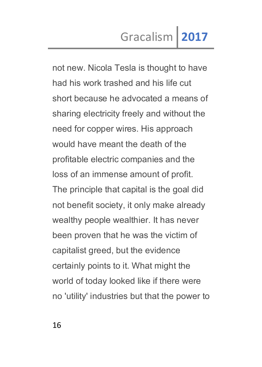not new. Nicola Tesla is thought to have had his work trashed and his life cut short because he advocated a means of sharing electricity freely and without the need for copper wires. His approach would have meant the death of the profitable electric companies and the loss of an immense amount of profit. The principle that capital is the goal did not benefit society, it only make already wealthy people wealthier. It has never been proven that he was the victim of capitalist greed, but the evidence certainly points to it. What might the world of today looked like if there were no 'utility' industries but that the power to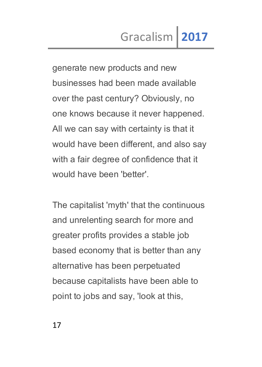generate new products and new businesses had been made available over the past century? Obviously, no one knows because it never happened. All we can say with certainty is that it would have been different, and also say with a fair degree of confidence that it would have been 'better'.

The capitalist 'myth' that the continuous and unrelenting search for more and greater profits provides a stable job based economy that is better than any alternative has been perpetuated because capitalists have been able to point to jobs and say, 'look at this,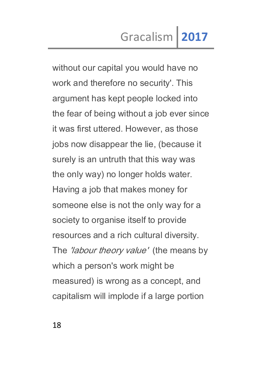without our capital you would have no work and therefore no security'. This argument has kept people locked into the fear of being without a job ever since it was first uttered. However, as those jobs now disappear the lie, (because it surely is an untruth that this way was the only way) no longer holds water. Having a job that makes money for someone else is not the only way for a society to organise itself to provide resources and a rich cultural diversity. The *'labour theory value'* (the means by which a person's work might be measured) is wrong as a concept, and capitalism will implode if a large portion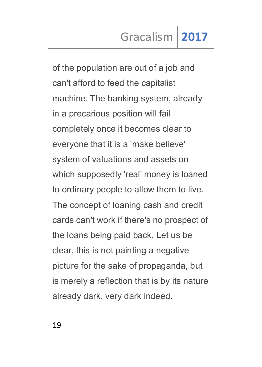of the population are out of a job and can't afford to feed the capitalist machine. The banking system, already in a precarious position will fail completely once it becomes clear to everyone that it is a 'make believe' system of valuations and assets on which supposedly 'real' money is loaned to ordinary people to allow them to live. The concept of loaning cash and credit cards can't work if there's no prospect of the loans being paid back. Let us be clear, this is not painting a negative picture for the sake of propaganda, but is merely a reflection that is by its nature already dark, very dark indeed.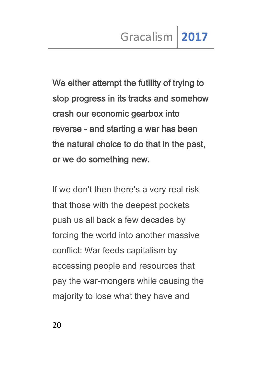We either attempt the futility of trying to stop progress in its tracks and somehow crash our economic gearbox into reverse - and starting a war has been the natural choice to do that in the past, or we do something new.

If we don't then there's a very real risk that those with the deepest pockets push us all back a few decades by forcing the world into another massive conflict: War feeds capitalism by accessing people and resources that pay the war-mongers while causing the majority to lose what they have and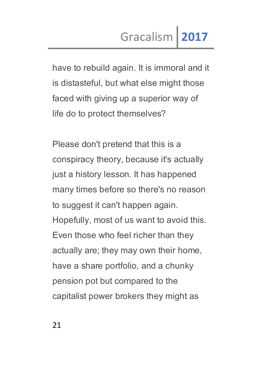have to rebuild again. It is immoral and it is distasteful, but what else might those faced with giving up a superior way of life do to protect themselves?

Please don't pretend that this is a conspiracy theory, because it's actually just a history lesson. It has happened many times before so there's no reason to suggest it can't happen again. Hopefully, most of us want to avoid this. Even those who feel richer than they actually are; they may own their home, have a share portfolio, and a chunky pension pot but compared to the capitalist power brokers they might as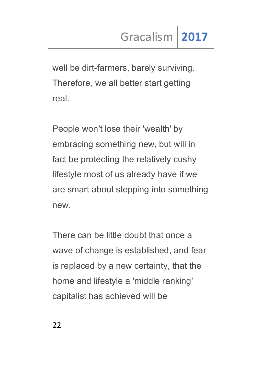well be dirt-farmers, barely surviving. Therefore, we all better start getting real.

People won't lose their 'wealth' by embracing something new, but will in fact be protecting the relatively cushy lifestyle most of us already have if we are smart about stepping into something new.

There can be little doubt that once a wave of change is established, and fear is replaced by a new certainty, that the home and lifestyle a 'middle ranking' capitalist has achieved will be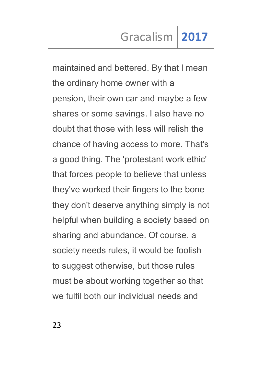maintained and bettered. By that I mean the ordinary home owner with a pension, their own car and maybe a few shares or some savings. I also have no doubt that those with less will relish the chance of having access to more. That's a good thing. The 'protestant work ethic' that forces people to believe that unless they've worked their fingers to the bone they don't deserve anything simply is not helpful when building a society based on sharing and abundance. Of course, a society needs rules, it would be foolish to suggest otherwise, but those rules must be about working together so that we fulfil both our individual needs and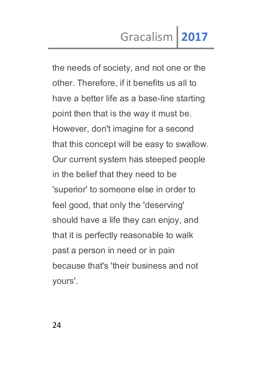the needs of society, and not one or the other. Therefore, if it benefits us all to have a better life as a base-line starting point then that is the way it must be. However, don't imagine for a second that this concept will be easy to swallow. Our current system has steeped people in the belief that they need to be 'superior' to someone else in order to feel good, that only the 'deserving' should have a life they can enjoy, and that it is perfectly reasonable to walk past a person in need or in pain because that's 'their business and not yours'.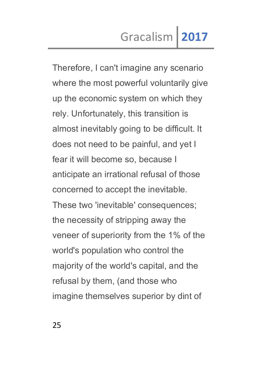Therefore, I can't imagine any scenario where the most powerful voluntarily give up the economic system on which they rely. Unfortunately, this transition is almost inevitably going to be difficult. It does not need to be painful, and yet I fear it will become so, because I anticipate an irrational refusal of those concerned to accept the inevitable. These two 'inevitable' consequences; the necessity of stripping away the veneer of superiority from the 1% of the world's population who control the majority of the world's capital, and the refusal by them, (and those who imagine themselves superior by dint of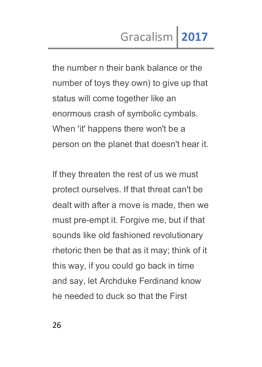the number n their bank balance or the number of toys they own) to give up that status will come together like an enormous crash of symbolic cymbals. When 'it' happens there won't be a person on the planet that doesn't hear it.

If they threaten the rest of us we must protect ourselves. If that threat can't be dealt with after a move is made, then we must pre-empt it. Forgive me, but if that sounds like old fashioned revolutionary rhetoric then be that as it may; think of it this way, if you could go back in time and say, let Archduke Ferdinand know he needed to duck so that the First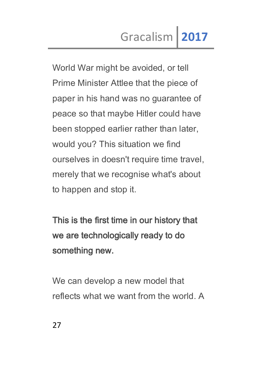World War might be avoided, or tell Prime Minister Attlee that the piece of paper in his hand was no guarantee of peace so that maybe Hitler could have been stopped earlier rather than later, would you? This situation we find ourselves in doesn't require time travel, merely that we recognise what's about to happen and stop it.

This is the first time in our history that we are technologically ready to do something new.

We can develop a new model that reflects what we want from the world. A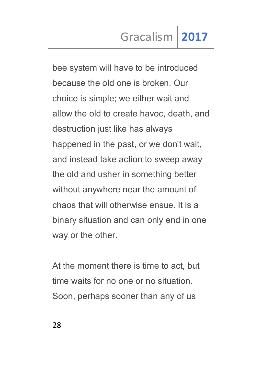bee system will have to be introduced because the old one is broken. Our choice is simple; we either wait and allow the old to create havoc, death, and destruction just like has always happened in the past, or we don't wait, and instead take action to sweep away the old and usher in something better without anywhere near the amount of chaos that will otherwise ensue. It is a binary situation and can only end in one way or the other.

At the moment there is time to act, but time waits for no one or no situation. Soon, perhaps sooner than any of us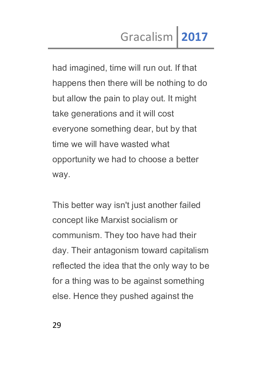had imagined, time will run out. If that happens then there will be nothing to do but allow the pain to play out. It might take generations and it will cost everyone something dear, but by that time we will have wasted what opportunity we had to choose a better way.

This better way isn't just another failed concept like Marxist socialism or communism. They too have had their day. Their antagonism toward capitalism reflected the idea that the only way to be for a thing was to be against something else. Hence they pushed against the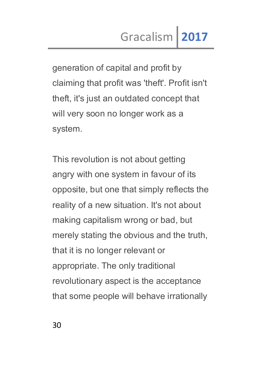generation of capital and profit by claiming that profit was 'theft'. Profit isn't theft, it's just an outdated concept that will very soon no longer work as a system.

This revolution is not about getting angry with one system in favour of its opposite, but one that simply reflects the reality of a new situation. It's not about making capitalism wrong or bad, but merely stating the obvious and the truth, that it is no longer relevant or appropriate. The only traditional revolutionary aspect is the acceptance that some people will behave irrationally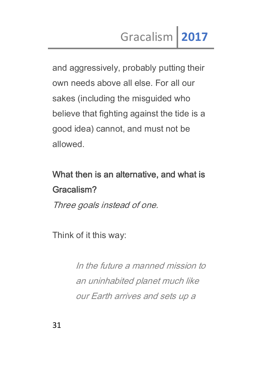and aggressively, probably putting their own needs above all else. For all our sakes (including the misguided who believe that fighting against the tide is a good idea) cannot, and must not be allowed.

# What then is an alternative, and what is Gracalism?

Three goals instead of one.

Think of it this way:

In the future a manned mission to an uninhabited planet much like our Earth arrives and sets up a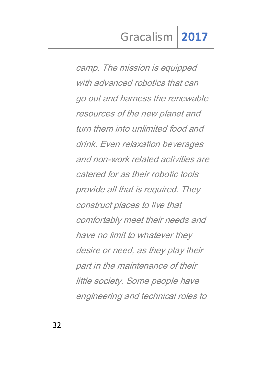camp. The mission is equipped with advanced robotics that can go out and harness the renewable resources of the new planet and turn them into unlimited food and drink. Even relaxation beverages and non-work related activities are catered for as their robotic tools provide all that is required. They construct places to live that comfortably meet their needs and have no limit to whatever they desire or need, as they play their part in the maintenance of their little society. Some people have engineering and technical roles to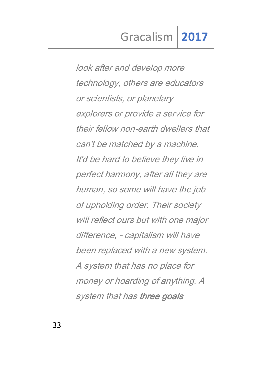look after and develop more technology, others are educators or scientists, or planetary explorers or provide a service for their fellow non-earth dwellers that can't be matched by a machine. It'd be hard to believe they live in perfect harmony, after all they are human, so some will have the job of upholding order. Their society will reflect ours but with one major difference, - capitalism will have been replaced with a new system. A system that has no place for money or hoarding of anything. A system that has three goals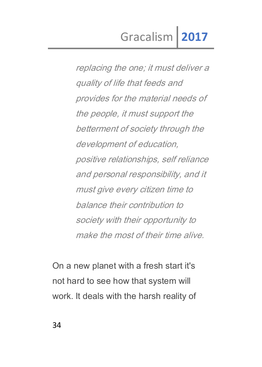replacing the one; it must deliver a quality of life that feeds and provides for the material needs of the people, it must support the betterment of society through the development of education, positive relationships, self reliance and personal responsibility, and it must give every citizen time to balance their contribution to society with their opportunity to make the most of their time alive.

On a new planet with a fresh start it's not hard to see how that system will work. It deals with the harsh reality of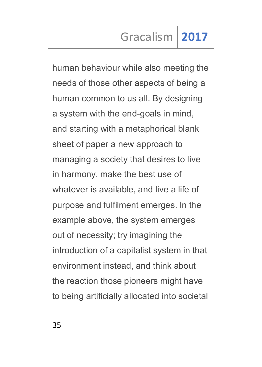human behaviour while also meeting the needs of those other aspects of being a human common to us all. By designing a system with the end-goals in mind, and starting with a metaphorical blank sheet of paper a new approach to managing a society that desires to live in harmony, make the best use of whatever is available, and live a life of purpose and fulfilment emerges. In the example above, the system emerges out of necessity; try imagining the introduction of a capitalist system in that environment instead, and think about the reaction those pioneers might have to being artificially allocated into societal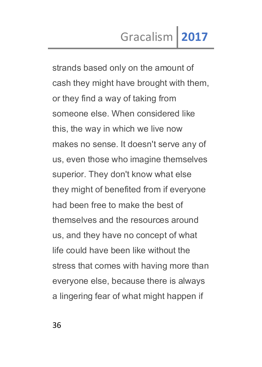strands based only on the amount of cash they might have brought with them, or they find a way of taking from someone else. When considered like this, the way in which we live now makes no sense. It doesn't serve any of us, even those who imagine themselves superior. They don't know what else they might of benefited from if everyone had been free to make the best of themselves and the resources around us, and they have no concept of what life could have been like without the stress that comes with having more than everyone else, because there is always a lingering fear of what might happen if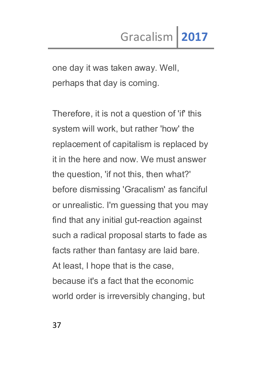one day it was taken away. Well, perhaps that day is coming.

Therefore, it is not a question of 'if' this system will work, but rather 'how' the replacement of capitalism is replaced by it in the here and now. We must answer the question, 'if not this, then what?' before dismissing 'Gracalism' as fanciful or unrealistic. I'm guessing that you may find that any initial gut-reaction against such a radical proposal starts to fade as facts rather than fantasy are laid bare. At least, I hope that is the case, because it's a fact that the economic world order is irreversibly changing, but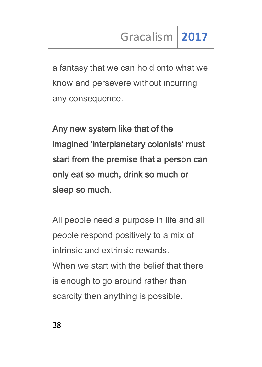a fantasy that we can hold onto what we know and persevere without incurring any consequence.

Any new system like that of the imagined 'interplanetary colonists' must start from the premise that a person can only eat so much, drink so much or sleep so much.

All people need a purpose in life and all people respond positively to a mix of intrinsic and extrinsic rewards. When we start with the belief that there is enough to go around rather than scarcity then anything is possible.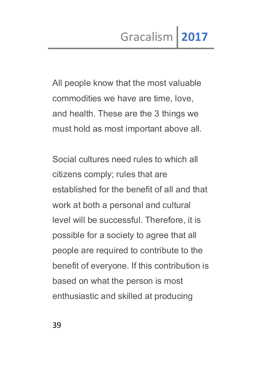All people know that the most valuable commodities we have are time, love, and health. These are the 3 things we must hold as most important above all.

Social cultures need rules to which all citizens comply; rules that are established for the benefit of all and that work at both a personal and cultural level will be successful. Therefore, it is possible for a society to agree that all people are required to contribute to the benefit of everyone. If this contribution is based on what the person is most enthusiastic and skilled at producing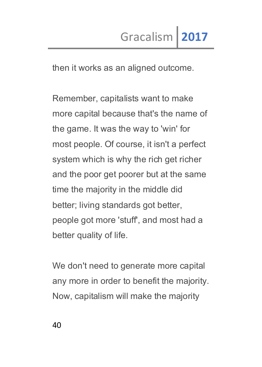then it works as an aligned outcome.

Remember, capitalists want to make more capital because that's the name of the game. It was the way to 'win' for most people. Of course, it isn't a perfect system which is why the rich get richer and the poor get poorer but at the same time the majority in the middle did better; living standards got better, people got more 'stuff', and most had a better quality of life.

We don't need to generate more capital any more in order to benefit the majority. Now, capitalism will make the majority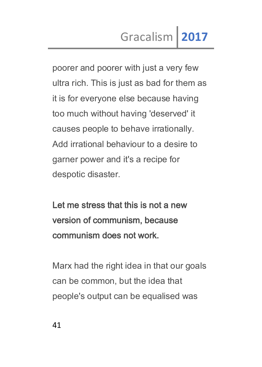poorer and poorer with just a very few ultra rich. This is just as bad for them as it is for everyone else because having too much without having 'deserved' it causes people to behave irrationally. Add irrational behaviour to a desire to garner power and it's a recipe for despotic disaster.

Let me stress that this is not a new version of communism, because communism does not work.

Marx had the right idea in that our goals can be common, but the idea that people's output can be equalised was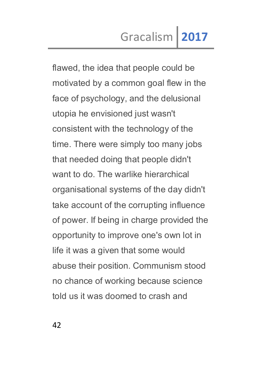flawed, the idea that people could be motivated by a common goal flew in the face of psychology, and the delusional utopia he envisioned just wasn't consistent with the technology of the time. There were simply too many jobs that needed doing that people didn't want to do. The warlike hierarchical organisational systems of the day didn't take account of the corrupting influence of power. If being in charge provided the opportunity to improve one's own lot in life it was a given that some would abuse their position. Communism stood no chance of working because science told us it was doomed to crash and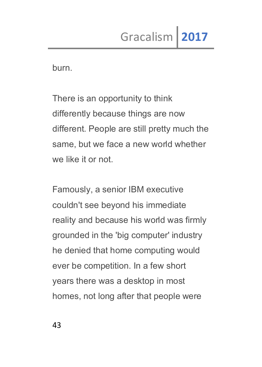burn.

There is an opportunity to think differently because things are now different. People are still pretty much the same, but we face a new world whether we like it or not.

Famously, a senior IBM executive couldn't see beyond his immediate reality and because his world was firmly grounded in the 'big computer' industry he denied that home computing would ever be competition. In a few short years there was a desktop in most homes, not long after that people were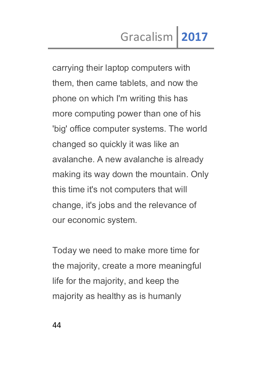carrying their laptop computers with them, then came tablets, and now the phone on which I'm writing this has more computing power than one of his 'big' office computer systems. The world changed so quickly it was like an avalanche. A new avalanche is already making its way down the mountain. Only this time it's not computers that will change, it's jobs and the relevance of our economic system.

Today we need to make more time for the majority, create a more meaningful life for the majority, and keep the majority as healthy as is humanly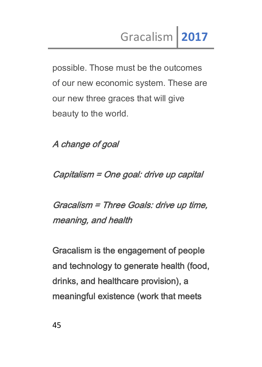possible. Those must be the outcomes of our new economic system. These are our new three graces that will give beauty to the world.

A change of goal

Capitalism = One goal: drive up capital

Gracalism = Three Goals: drive up time, meaning, and health

Gracalism is the engagement of people and technology to generate health (food, drinks, and healthcare provision), a meaningful existence (work that meets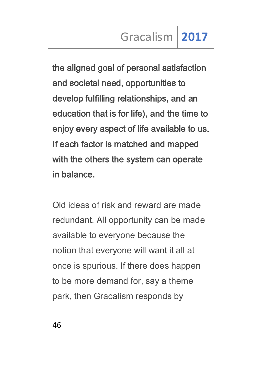the aligned goal of personal satisfaction and societal need, opportunities to develop fulfilling relationships, and an education that is for life), and the time to enjoy every aspect of life available to us. If each factor is matched and mapped with the others the system can operate in balance.

Old ideas of risk and reward are made redundant. All opportunity can be made available to everyone because the notion that everyone will want it all at once is spurious. If there does happen to be more demand for, say a theme park, then Gracalism responds by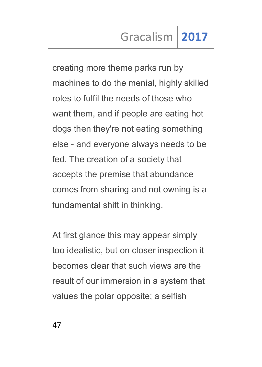creating more theme parks run by machines to do the menial, highly skilled roles to fulfil the needs of those who want them, and if people are eating hot dogs then they're not eating something else - and everyone always needs to be fed. The creation of a society that accepts the premise that abundance comes from sharing and not owning is a fundamental shift in thinking.

At first glance this may appear simply too idealistic, but on closer inspection it becomes clear that such views are the result of our immersion in a system that values the polar opposite; a selfish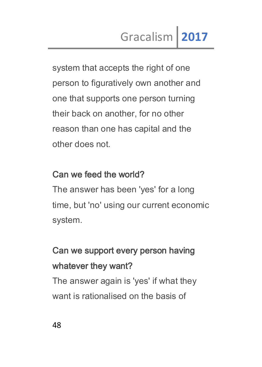system that accepts the right of one person to figuratively own another and one that supports one person turning their back on another, for no other reason than one has capital and the other does not.

### Can we feed the world?

The answer has been 'yes' for a long time, but 'no' using our current economic system.

### Can we support every person having whatever they want?

The answer again is 'yes' if what they want is rationalised on the basis of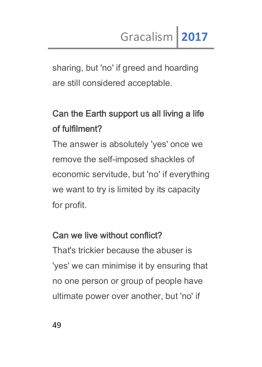sharing, but 'no' if greed and hoarding are still considered acceptable.

### Can the Earth support us all living a life of fulfilment?

The answer is absolutely 'yes' once we remove the self-imposed shackles of economic servitude, but 'no' if everything we want to try is limited by its capacity for profit.

### Can we live without conflict?

That's trickier because the abuser is 'yes' we can minimise it by ensuring that no one person or group of people have ultimate power over another, but 'no' if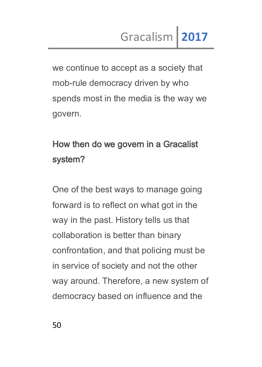we continue to accept as a society that mob-rule democracy driven by who spends most in the media is the way we govern.

### How then do we govern in a Gracalist system?

One of the best ways to manage going forward is to reflect on what got in the way in the past. History tells us that collaboration is better than binary confrontation, and that policing must be in service of society and not the other way around. Therefore, a new system of democracy based on influence and the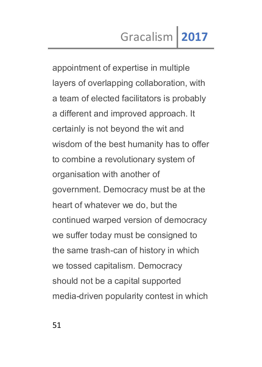appointment of expertise in multiple layers of overlapping collaboration, with a team of elected facilitators is probably a different and improved approach. It certainly is not beyond the wit and wisdom of the best humanity has to offer to combine a revolutionary system of organisation with another of government. Democracy must be at the heart of whatever we do, but the continued warped version of democracy we suffer today must be consigned to the same trash-can of history in which we tossed capitalism. Democracy should not be a capital supported media-driven popularity contest in which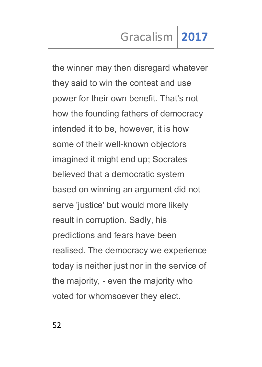the winner may then disregard whatever they said to win the contest and use power for their own benefit. That's not how the founding fathers of democracy intended it to be, however, it is how some of their well-known objectors imagined it might end up; Socrates believed that a democratic system based on winning an argument did not serve 'justice' but would more likely result in corruption. Sadly, his predictions and fears have been realised. The democracy we experience today is neither just nor in the service of the majority, - even the majority who voted for whomsoever they elect.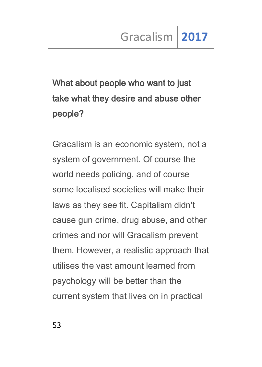# What about people who want to just take what they desire and abuse other people?

Gracalism is an economic system, not a system of government. Of course the world needs policing, and of course some localised societies will make their laws as they see fit. Capitalism didn't cause gun crime, drug abuse, and other crimes and nor will Gracalism prevent them. However, a realistic approach that utilises the vast amount learned from psychology will be better than the current system that lives on in practical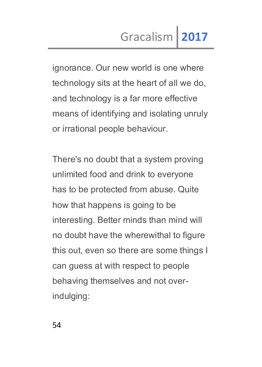ignorance. Our new world is one where technology sits at the heart of all we do, and technology is a far more effective means of identifying and isolating unruly or irrational people behaviour.

There's no doubt that a system proving unlimited food and drink to everyone has to be protected from abuse. Quite how that happens is going to be interesting. Better minds than mind will no doubt have the wherewithal to figure this out, even so there are some things I can guess at with respect to people behaving themselves and not overindulging: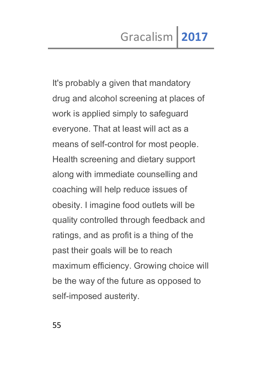It's probably a given that mandatory drug and alcohol screening at places of work is applied simply to safeguard everyone. That at least will act as a means of self-control for most people. Health screening and dietary support along with immediate counselling and coaching will help reduce issues of obesity. I imagine food outlets will be quality controlled through feedback and ratings, and as profit is a thing of the past their goals will be to reach maximum efficiency. Growing choice will be the way of the future as opposed to self-imposed austerity.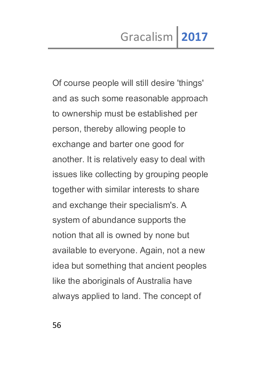Of course people will still desire 'things' and as such some reasonable approach to ownership must be established per person, thereby allowing people to exchange and barter one good for another. It is relatively easy to deal with issues like collecting by grouping people together with similar interests to share and exchange their specialism's. A system of abundance supports the notion that all is owned by none but available to everyone. Again, not a new idea but something that ancient peoples like the aboriginals of Australia have always applied to land. The concept of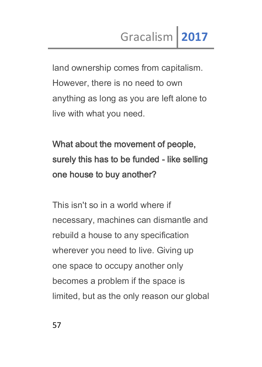land ownership comes from capitalism. However, there is no need to own anything as long as you are left alone to live with what you need.

# What about the movement of people, surely this has to be funded - like selling one house to buy another?

This isn't so in a world where if necessary, machines can dismantle and rebuild a house to any specification wherever you need to live. Giving up one space to occupy another only becomes a problem if the space is limited, but as the only reason our global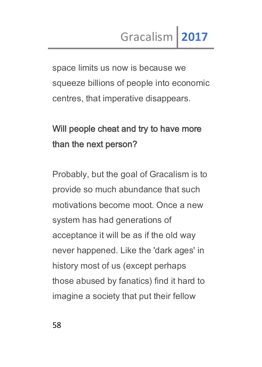space limits us now is because we squeeze billions of people into economic centres, that imperative disappears.

## Will people cheat and try to have more than the next person?

Probably, but the goal of Gracalism is to provide so much abundance that such motivations become moot. Once a new system has had generations of acceptance it will be as if the old way never happened. Like the 'dark ages' in history most of us (except perhaps those abused by fanatics) find it hard to imagine a society that put their fellow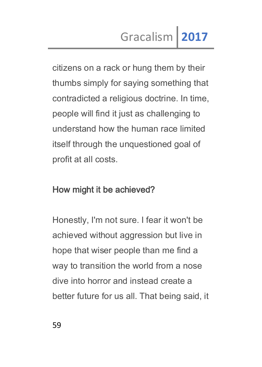citizens on a rack or hung them by their thumbs simply for saying something that contradicted a religious doctrine. In time, people will find it just as challenging to understand how the human race limited itself through the unquestioned goal of profit at all costs.

### How might it be achieved?

Honestly, I'm not sure. I fear it won't be achieved without aggression but live in hope that wiser people than me find a way to transition the world from a nose dive into horror and instead create a better future for us all. That being said, it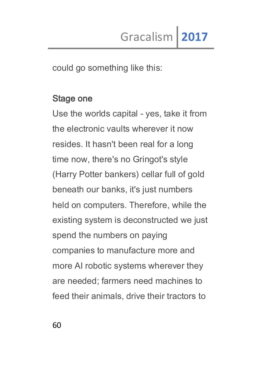could go something like this:

#### Stage one

Use the worlds capital - yes, take it from the electronic vaults wherever it now resides. It hasn't been real for a long time now, there's no Gringot's style (Harry Potter bankers) cellar full of gold beneath our banks, it's just numbers held on computers. Therefore, while the existing system is deconstructed we just spend the numbers on paying companies to manufacture more and more AI robotic systems wherever they are needed; farmers need machines to feed their animals, drive their tractors to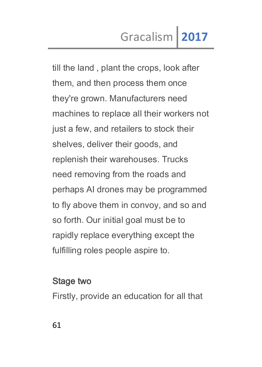till the land , plant the crops, look after them, and then process them once they're grown. Manufacturers need machines to replace all their workers not just a few, and retailers to stock their shelves, deliver their goods, and replenish their warehouses. Trucks need removing from the roads and perhaps AI drones may be programmed to fly above them in convoy, and so and so forth. Our initial goal must be to rapidly replace everything except the fulfilling roles people aspire to.

### Stage two

Firstly, provide an education for all that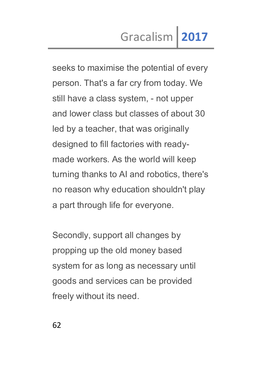seeks to maximise the potential of every person. That's a far cry from today. We still have a class system, - not upper and lower class but classes of about 30 led by a teacher, that was originally designed to fill factories with readymade workers. As the world will keep turning thanks to AI and robotics, there's no reason why education shouldn't play a part through life for everyone.

Secondly, support all changes by propping up the old money based system for as long as necessary until goods and services can be provided freely without its need.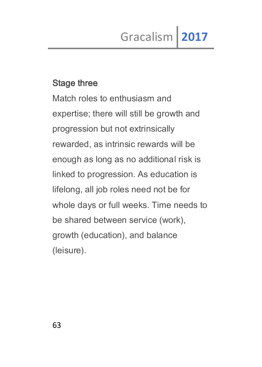### Stage three

Match roles to enthusiasm and expertise; there will still be growth and progression but not extrinsically rewarded, as intrinsic rewards will be enough as long as no additional risk is linked to progression. As education is lifelong, all job roles need not be for whole days or full weeks. Time needs to be shared between service (work), growth (education), and balance (leisure).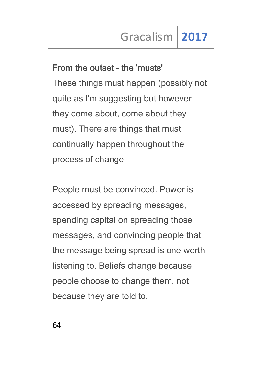### From the outset - the 'musts'

These things must happen (possibly not quite as I'm suggesting but however they come about, come about they must). There are things that must continually happen throughout the process of change:

People must be convinced. Power is accessed by spreading messages, spending capital on spreading those messages, and convincing people that the message being spread is one worth listening to. Beliefs change because people choose to change them, not because they are told to.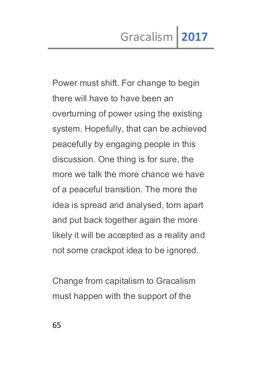Power must shift. For change to begin there will have to have been an overturning of power using the existing system. Hopefully, that can be achieved peacefully by engaging people in this discussion. One thing is for sure, the more we talk the more chance we have of a peaceful transition. The more the idea is spread and analysed, torn apart and put back together again the more likely it will be accepted as a reality and not some crackpot idea to be ignored.

Change from capitalism to Gracalism must happen with the support of the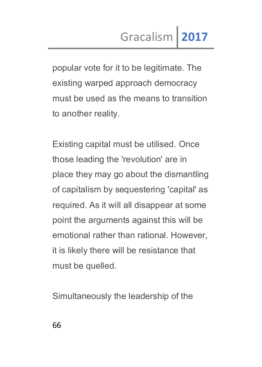popular vote for it to be legitimate. The existing warped approach democracy must be used as the means to transition to another reality.

Existing capital must be utilised. Once those leading the 'revolution' are in place they may go about the dismantling of capitalism by sequestering 'capital' as required. As it will all disappear at some point the arguments against this will be emotional rather than rational. However, it is likely there will be resistance that must be quelled.

Simultaneously the leadership of the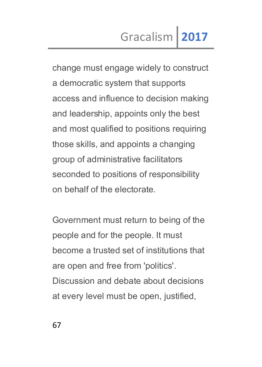change must engage widely to construct a democratic system that supports access and influence to decision making and leadership, appoints only the best and most qualified to positions requiring those skills, and appoints a changing group of administrative facilitators seconded to positions of responsibility on behalf of the electorate.

Government must return to being of the people and for the people. It must become a trusted set of institutions that are open and free from 'politics'. Discussion and debate about decisions at every level must be open, justified,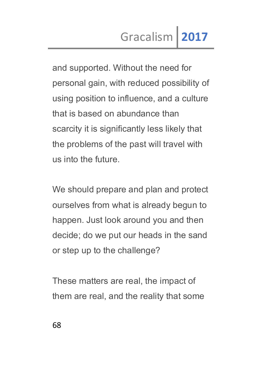and supported. Without the need for personal gain, with reduced possibility of using position to influence, and a culture that is based on abundance than scarcity it is significantly less likely that the problems of the past will travel with us into the future.

We should prepare and plan and protect ourselves from what is already begun to happen. Just look around you and then decide; do we put our heads in the sand or step up to the challenge?

These matters are real, the impact of them are real, and the reality that some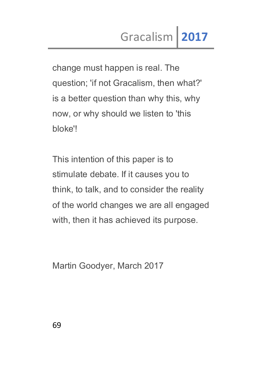change must happen is real. The question; 'if not Gracalism, then what?' is a better question than why this, why now, or why should we listen to 'this bloke'!

This intention of this paper is to stimulate debate. If it causes you to think, to talk, and to consider the reality of the world changes we are all engaged with, then it has achieved its purpose.

Martin Goodyer, March 2017